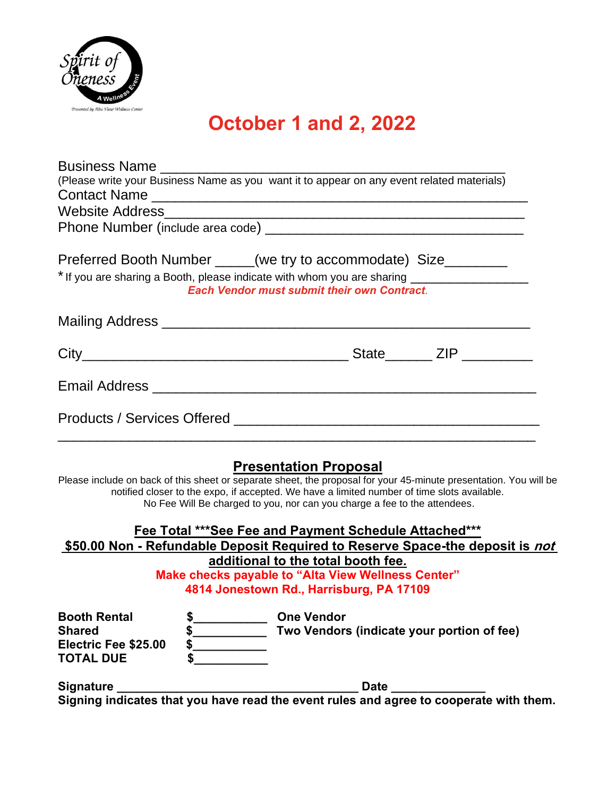

## **October 1 and 2, 2022**

| (Please write your Business Name as you want it to appear on any event related materials)                         |               |                                                                                                                                                                                                          |  |                                            |  |
|-------------------------------------------------------------------------------------------------------------------|---------------|----------------------------------------------------------------------------------------------------------------------------------------------------------------------------------------------------------|--|--------------------------------------------|--|
|                                                                                                                   |               |                                                                                                                                                                                                          |  |                                            |  |
|                                                                                                                   |               |                                                                                                                                                                                                          |  |                                            |  |
|                                                                                                                   |               |                                                                                                                                                                                                          |  |                                            |  |
| Preferred Booth Number _____(we try to accommodate) Size________                                                  |               |                                                                                                                                                                                                          |  |                                            |  |
| * If you are sharing a Booth, please indicate with whom you are sharing ____________________________              |               |                                                                                                                                                                                                          |  |                                            |  |
|                                                                                                                   |               | <b>Each Vendor must submit their own Contract.</b>                                                                                                                                                       |  |                                            |  |
|                                                                                                                   |               |                                                                                                                                                                                                          |  |                                            |  |
|                                                                                                                   |               |                                                                                                                                                                                                          |  |                                            |  |
|                                                                                                                   |               |                                                                                                                                                                                                          |  |                                            |  |
| Please include on back of this sheet or separate sheet, the proposal for your 45-minute presentation. You will be |               | <b>Presentation Proposal</b><br>notified closer to the expo, if accepted. We have a limited number of time slots available.<br>No Fee Will Be charged to you, nor can you charge a fee to the attendees. |  |                                            |  |
|                                                                                                                   |               | Fee Total *** See Fee and Payment Schedule Attached***                                                                                                                                                   |  |                                            |  |
| \$50.00 Non - Refundable Deposit Required to Reserve Space-the deposit is not                                     |               | additional to the total booth fee.                                                                                                                                                                       |  |                                            |  |
|                                                                                                                   |               | Make checks payable to "Alta View Wellness Center"                                                                                                                                                       |  |                                            |  |
|                                                                                                                   |               | 4814 Jonestown Rd., Harrisburg, PA 17109                                                                                                                                                                 |  |                                            |  |
| <b>Booth Rental</b>                                                                                               | $\frac{1}{2}$ | <b>One Vendor</b>                                                                                                                                                                                        |  |                                            |  |
| <b>Shared</b>                                                                                                     | $\frac{1}{2}$ |                                                                                                                                                                                                          |  | Two Vendors (indicate your portion of fee) |  |
| Electric Fee \$25.00                                                                                              | $\sim$        |                                                                                                                                                                                                          |  |                                            |  |
| <b>TOTAL DUE</b>                                                                                                  |               |                                                                                                                                                                                                          |  |                                            |  |

**Signature \_\_\_\_\_\_\_\_\_\_\_\_\_\_\_\_\_\_\_\_\_\_\_\_\_\_\_\_\_\_\_\_\_\_\_\_ Date \_\_\_\_\_\_\_\_\_\_\_\_\_\_ Signing indicates that you have read the event rules and agree to cooperate with them.**